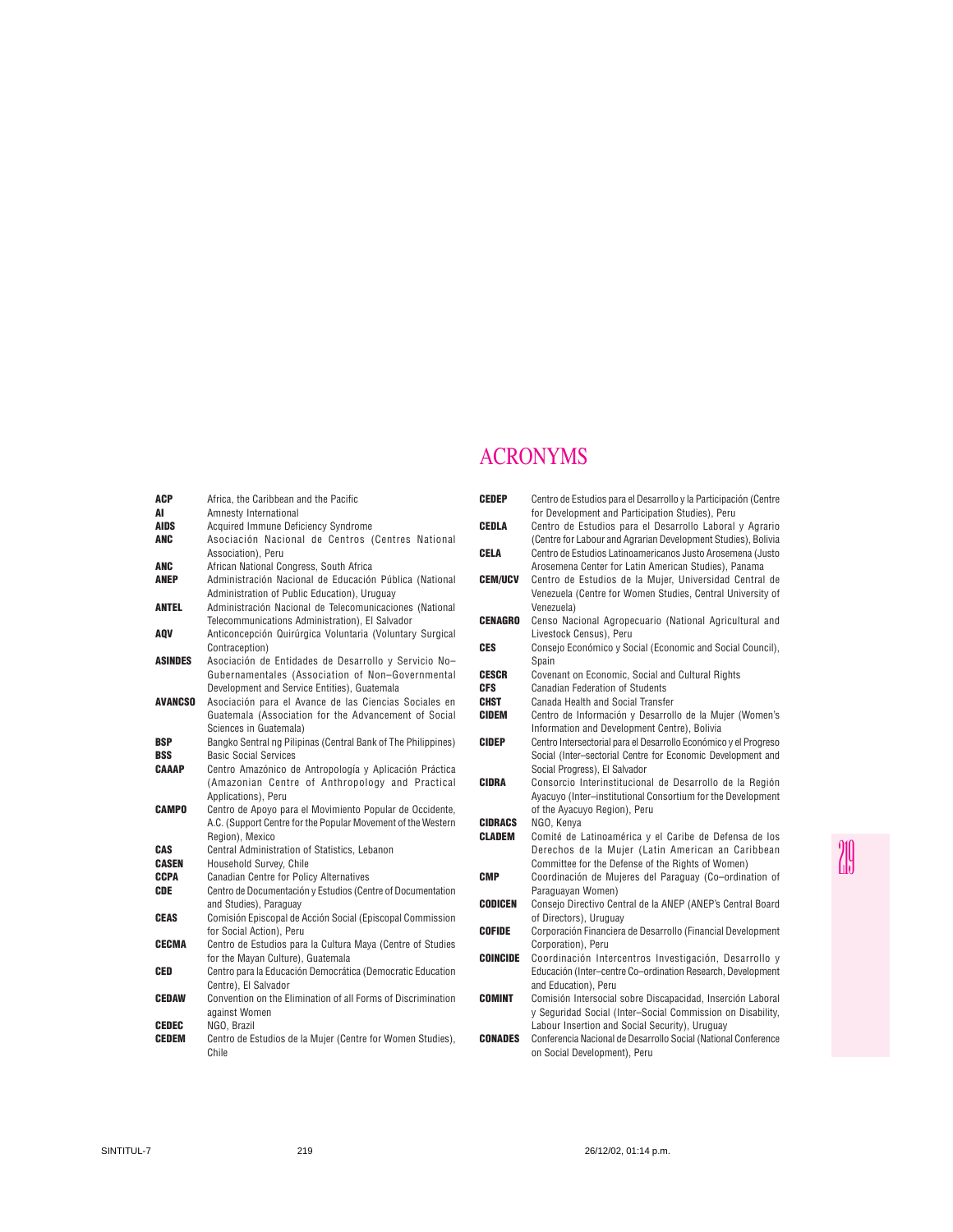## ACRONYMS

| ACP<br>AI                  | Africa, the Caribbean and the Pacific<br>Amnesty International                         |
|----------------------------|----------------------------------------------------------------------------------------|
| <b>AIDS</b>                | Acquired Immune Deficiency Syndrome                                                    |
| <b>ANC</b>                 | Asociación Nacional de Centros (Centres National                                       |
|                            | Association). Peru                                                                     |
| <b>ANC</b>                 | African National Congress, South Africa                                                |
| <b>ANEP</b>                | Administración Nacional de Educación Pública (National                                 |
|                            | Administration of Public Education), Uruguay                                           |
| <b>ANTEL</b>               | Administración Nacional de Telecomunicaciones (National                                |
|                            | Telecommunications Administration), El Salvador                                        |
| AOV                        | Anticoncepción Quirúrgica Voluntaria (Voluntary Surgical                               |
|                            | Contraception)                                                                         |
| <b>ASINDES</b>             | Asociación de Entidades de Desarrollo y Servicio No-                                   |
|                            | Gubernamentales (Association of Non-Governmental                                       |
|                            | Development and Service Entities), Guatemala                                           |
| AVANCSO                    | Asociación para el Avance de las Ciencias Sociales en                                  |
|                            | Guatemala (Association for the Advancement of Social                                   |
|                            | Sciences in Guatemala)                                                                 |
| <b>BSP</b>                 | Bangko Sentral ng Pilipinas (Central Bank of The Philippines)                          |
| <b>BSS</b><br><b>CAAAP</b> | <b>Basic Social Services</b><br>Centro Amazónico de Antropología y Aplicación Práctica |
|                            | (Amazonian Centre of Anthropology and Practical                                        |
|                            | Applications), Peru                                                                    |
| CAMPO                      | Centro de Apoyo para el Movimiento Popular de Occidente,                               |
|                            | A.C. (Support Centre for the Popular Movement of the Western                           |
|                            | Region), Mexico                                                                        |
| CAS                        | Central Administration of Statistics, Lebanon                                          |
| <b>CASEN</b>               | Household Survev. Chile                                                                |
| CCPA                       | <b>Canadian Centre for Policy Alternatives</b>                                         |
| <b>CDE</b>                 | Centro de Documentación y Estudios (Centre of Documentation                            |
|                            | and Studies), Paraguay                                                                 |
| <b>CEAS</b>                | Comisión Episcopal de Acción Social (Episcopal Commission                              |
|                            | for Social Action), Peru                                                               |
| <b>CECMA</b>               | Centro de Estudios para la Cultura Maya (Centre of Studies                             |
|                            | for the Mayan Culture), Guatemala                                                      |
| CED                        | Centro para la Educación Democrática (Democratic Education                             |
|                            | Centre). El Salvador                                                                   |
| <b>CEDAW</b>               | Convention on the Elimination of all Forms of Discrimination                           |
|                            | against Women                                                                          |
| <b>CEDEC</b>               | NGO. Brazil                                                                            |
| <b>CEDEM</b>               | Centro de Estudios de la Mujer (Centre for Women Studies),                             |
|                            | Chile                                                                                  |

| <b>CEDEP</b>    | Centro de Estudios para el Desarrollo y la Participación (Centre<br>for Development and Participation Studies), Peru                                                       |
|-----------------|----------------------------------------------------------------------------------------------------------------------------------------------------------------------------|
| CEDLA           | Centro de Estudios para el Desarrollo Laboral y Agrario<br>(Centre for Labour and Agrarian Development Studies), Bolivia                                                   |
| CELA            | Centro de Estudios Latinoamericanos Justo Arosemena (Justo<br>Arosemena Center for Latin American Studies), Panama                                                         |
| <b>CEM/UCV</b>  | Centro de Estudios de la Mujer, Universidad Central de<br>Venezuela (Centre for Women Studies, Central University of<br>Venezuela)                                         |
| <b>CENAGRO</b>  | Censo Nacional Agropecuario (National Agricultural and<br>Livestock Census), Peru                                                                                          |
| <b>CES</b>      | Consejo Económico y Social (Economic and Social Council),<br>Spain                                                                                                         |
| <b>CESCR</b>    | Covenant on Economic, Social and Cultural Rights                                                                                                                           |
| <b>CFS</b>      | Canadian Federation of Students                                                                                                                                            |
| <b>CHST</b>     | Canada Health and Social Transfer                                                                                                                                          |
| <b>CIDEM</b>    | Centro de Información y Desarrollo de la Mujer (Women's<br>Information and Development Centre), Bolivia                                                                    |
| <b>CIDEP</b>    | Centro Intersectorial para el Desarrollo Económico y el Progreso<br>Social (Inter-sectorial Centre for Economic Development and<br>Social Progress), El Salvador           |
| <b>CIDRA</b>    | Consorcio Interinstitucional de Desarrollo de la Región<br>Ayacuyo (Inter-institutional Consortium for the Development<br>of the Ayacuyo Region), Peru                     |
| <b>CIDRACS</b>  | NGO, Kenva                                                                                                                                                                 |
| <b>CLADEM</b>   | Comité de Latinoamérica y el Caribe de Defensa de los<br>Derechos de la Mujer (Latin American an Caribbean<br>Committee for the Defense of the Rights of Women)            |
| <b>CMP</b>      | Coordinación de Mujeres del Paraguay (Co-ordination of<br>Paraguayan Women)                                                                                                |
| <b>CODICEN</b>  | Consejo Directivo Central de la ANEP (ANEP's Central Board<br>of Directors), Uruguay                                                                                       |
| <b>COFIDE</b>   | Corporación Financiera de Desarrollo (Financial Development<br>Corporation), Peru                                                                                          |
| <b>COINCIDE</b> | Coordinación Intercentros Investigación, Desarrollo y<br>Educación (Inter-centre Co-ordination Research, Development<br>and Education), Peru                               |
| <b>COMINT</b>   | Comisión Intersocial sobre Discapacidad, Inserción Laboral<br>y Seguridad Social (Inter-Social Commission on Disability,<br>Labour Insertion and Social Security), Uruguay |
| CONADES         | Conferencia Nacional de Desarrollo Social (National Conference<br>on Social Development), Peru                                                                             |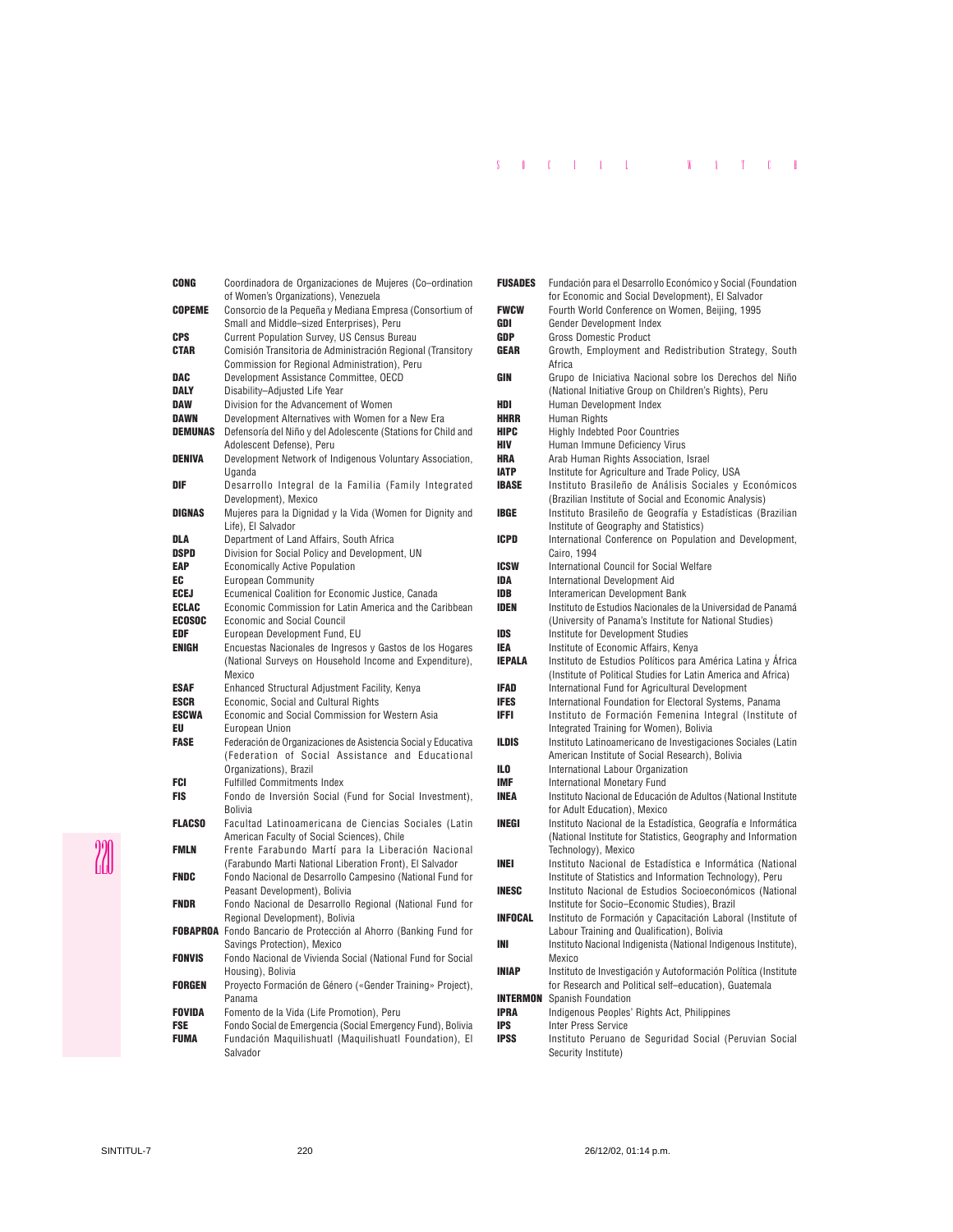## S O C I A L W A T C H

| CONG          | Coordinadora de Organizaciones de Mujeres (Co-ordination                 |
|---------------|--------------------------------------------------------------------------|
|               | of Women's Organizations), Venezuela                                     |
| <b>COPEME</b> | Consorcio de la Pequeña y Mediana Empresa (Consortium of                 |
|               | Small and Middle-sized Enterprises), Peru                                |
| CPS           | <b>Current Population Survey, US Census Bureau</b>                       |
| CTAR          | Comisión Transitoria de Administración Regional (Transitory              |
|               | Commission for Regional Administration), Peru                            |
| DAC           | Development Assistance Committee, OECD                                   |
| DALY          | Disability-Adjusted Life Year                                            |
| DAW           | Division for the Advancement of Women                                    |
| DAWN          | Development Alternatives with Women for a New Era                        |
| DEMUNAS       | Defensoría del Niño y del Adolescente (Stations for Child and            |
| DENIVA        | Adolescent Defense), Peru                                                |
|               | Development Network of Indigenous Voluntary Association,<br>Uganda       |
| DIF           | Desarrollo Integral de la Familia (Family Integrated                     |
|               | Development), Mexico                                                     |
| DIGNAS        | Mujeres para la Dignidad y la Vida (Women for Dignity and                |
|               | Life), El Salvador                                                       |
| DLA           | Department of Land Affairs, South Africa                                 |
| DSPD          | Division for Social Policy and Development, UN                           |
| EAP           | <b>Economically Active Population</b>                                    |
| EC            | <b>European Community</b>                                                |
| ECEJ          | Ecumenical Coalition for Economic Justice, Canada                        |
| ECLAC         | Economic Commission for Latin America and the Caribbean                  |
| ECOSOC        | <b>Economic and Social Council</b>                                       |
| EDF           | European Development Fund, EU                                            |
| ENIGH         | Encuestas Nacionales de Ingresos y Gastos de los Hogares                 |
|               | (National Surveys on Household Income and Expenditure),                  |
|               | Mexico                                                                   |
| ESAF          | Enhanced Structural Adjustment Facility, Kenya                           |
| ESCR          | Economic, Social and Cultural Rights                                     |
| ESCWA         | Economic and Social Commission for Western Asia                          |
| EU            | <b>European Union</b>                                                    |
| FASE          | Federación de Organizaciones de Asistencia Social y Educativa            |
|               | (Federation of Social Assistance and Educational                         |
| FCI           | Organizations), Brazil<br><b>Fulfilled Commitments Index</b>             |
| FIS           | Fondo de Inversión Social (Fund for Social Investment),                  |
|               | Bolivia                                                                  |
| <b>FLACSO</b> | Facultad Latinoamericana de Ciencias Sociales (Latin                     |
|               | American Faculty of Social Sciences), Chile                              |
| FMLN          | Frente Farabundo Martí para la Liberación Nacional                       |
|               | (Farabundo Marti National Liberation Front), El Salvador                 |
| FNDC          | Fondo Nacional de Desarrollo Campesino (National Fund for                |
|               | Peasant Development), Bolivia                                            |
| FNDR          | Fondo Nacional de Desarrollo Regional (National Fund for                 |
|               | Regional Development), Bolivia                                           |
|               | <b>FOBAPROA</b> Fondo Bancario de Protección al Ahorro (Banking Fund for |
|               | Savings Protection), Mexico                                              |
| FONVIS        | Fondo Nacional de Vivienda Social (National Fund for Social              |
|               | Housing), Bolivia                                                        |
| FORGEN        | Proyecto Formación de Género («Gender Training» Project),                |
|               | Panama                                                                   |
| Fovida        | Fomento de la Vida (Life Promotion), Peru                                |
| FSE           | Fondo Social de Emergencia (Social Emergency Fund), Bolivia              |
| FUMA          | Fundación Maquilishuatl (Maquilishuatl Foundation), El                   |
|               | Salvador                                                                 |

| <b>FUSADES</b> | Fundación para el Desarrollo Económico y Social (Foundation<br>for Economic and Social Development), El Salvador   |
|----------------|--------------------------------------------------------------------------------------------------------------------|
| <b>FWCW</b>    | Fourth World Conference on Women, Beijing, 1995                                                                    |
| GDI            | Gender Development Index                                                                                           |
| <b>GDP</b>     | <b>Gross Domestic Product</b>                                                                                      |
| <b>GEAR</b>    | Growth, Employment and Redistribution Strategy, South<br>Africa                                                    |
| GIN            | Grupo de Iniciativa Nacional sobre los Derechos del Niño<br>(National Initiative Group on Children's Rights), Peru |
| HDI            | Human Development Index                                                                                            |
| <b>HHRR</b>    | Human Rights                                                                                                       |
| <b>HIPC</b>    | <b>Highly Indebted Poor Countries</b>                                                                              |
| HIV            | Human Immune Deficiency Virus                                                                                      |
| <b>HRA</b>     | Arab Human Rights Association, Israel                                                                              |
| <b>IATP</b>    | Institute for Agriculture and Trade Policy, USA                                                                    |
| <b>IBASE</b>   | Instituto Brasileño de Análisis Sociales y Económicos                                                              |
|                | (Brazilian Institute of Social and Economic Analysis)                                                              |
| <b>IBGE</b>    | Instituto Brasileño de Geografía y Estadísticas (Brazilian                                                         |
| ICPD           | Institute of Geography and Statistics)<br>International Conference on Population and Development,                  |
|                | Cairo, 1994                                                                                                        |
| <b>ICSW</b>    | International Council for Social Welfare                                                                           |
| IDA            | <b>International Development Aid</b>                                                                               |
| <b>IDB</b>     | Interamerican Development Bank                                                                                     |
| <b>IDEN</b>    | Instituto de Estudios Nacionales de la Universidad de Panamá                                                       |
|                | (University of Panama's Institute for National Studies)                                                            |
| <b>IDS</b>     | Institute for Development Studies                                                                                  |
| IEA            | Institute of Economic Affairs, Kenya                                                                               |
| <b>IEPALA</b>  | Instituto de Estudios Políticos para América Latina y África                                                       |
|                | (Institute of Political Studies for Latin America and Africa)                                                      |
| IFAD           | International Fund for Agricultural Development                                                                    |
| <b>IFES</b>    | International Foundation for Electoral Systems, Panama                                                             |
| IFFI           | Instituto de Formación Femenina Integral (Institute of<br>Integrated Training for Women), Bolivia                  |
| ILDIS          | Instituto Latinoamericano de Investigaciones Sociales (Latin                                                       |
|                | American Institute of Social Research), Bolivia                                                                    |
| ILO            | International Labour Organization                                                                                  |
| <b>IMF</b>     | <b>International Monetary Fund</b>                                                                                 |
| <b>INEA</b>    | Instituto Nacional de Educación de Adultos (National Institute                                                     |
|                | for Adult Education), Mexico                                                                                       |
| INEGI          | Instituto Nacional de la Estadística, Geografía e Informática                                                      |
|                | (National Institute for Statistics, Geography and Information                                                      |
|                | Technology), Mexico                                                                                                |
| INEI           | Instituto Nacional de Estadística e Informática (National                                                          |
|                | Institute of Statistics and Information Technology), Peru                                                          |
| <b>INESC</b>   | Instituto Nacional de Estudios Socioeconómicos (National<br>Institute for Socio-Economic Studies), Brazil          |
| <b>INFOCAL</b> | Instituto de Formación y Capacitación Laboral (Institute of                                                        |
|                | Labour Training and Qualification), Bolivia                                                                        |
| INI            | Instituto Nacional Indigenista (National Indigenous Institute),                                                    |
|                | Mexico                                                                                                             |
| <b>INIAP</b>   | Instituto de Investigación y Autoformación Política (Institute                                                     |
|                | for Research and Political self-education), Guatemala                                                              |
|                | <b>INTERMON</b> Spanish Foundation                                                                                 |
| <b>IPRA</b>    | Indigenous Peoples' Rights Act, Philippines                                                                        |
| <b>IPS</b>     | <b>Inter Press Service</b>                                                                                         |
| <b>IPSS</b>    | Instituto Peruano de Seguridad Social (Peruvian Social                                                             |
|                | Security Institute)                                                                                                |

20